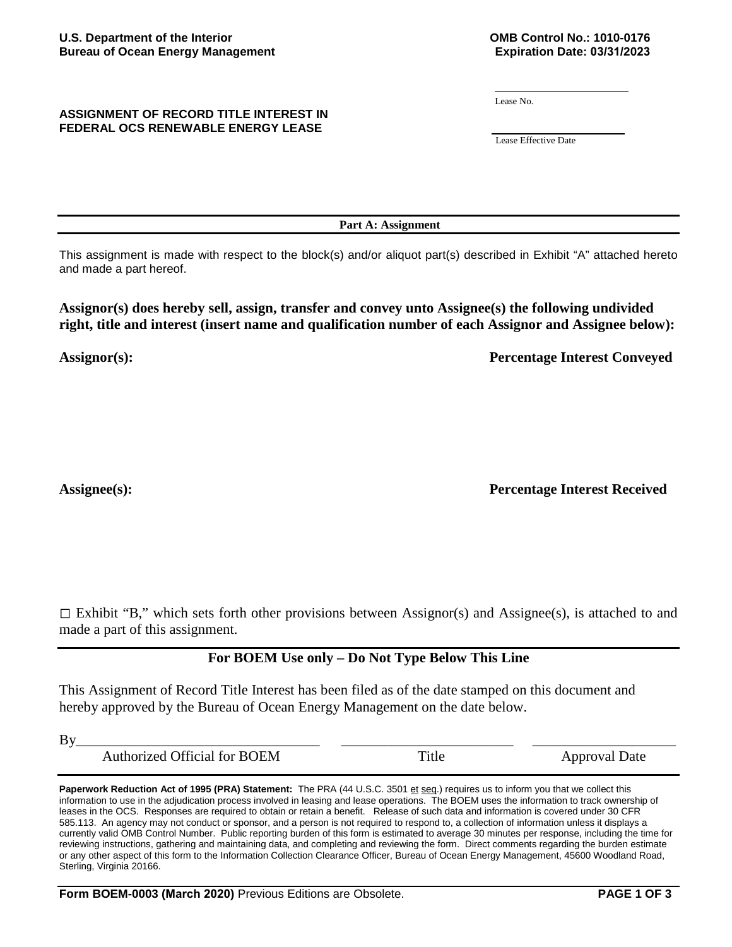### **ASSIGNMENT OF RECORD TITLE INTEREST IN FEDERAL OCS RENEWABLE ENERGY LEASE**

Lease No.

Lease Effective Date

**Part A: Assignment**

This assignment is made with respect to the block(s) and/or aliquot part(s) described in Exhibit "A" attached hereto and made a part hereof.

**Assignor(s) does hereby sell, assign, transfer and convey unto Assignee(s) the following undivided right, title and interest (insert name and qualification number of each Assignor and Assignee below):** 

**Assignor(s): Percentage Interest Conveyed**

Assignee(s): **Percentage Interest Received** 

 $\Box$  Exhibit "B," which sets forth other provisions between Assignor(s) and Assignee(s), is attached to and made a part of this assignment.

# **For BOEM Use only – Do Not Type Below This Line**

This Assignment of Record Title Interest has been filed as of the date stamped on this document and hereby approved by the Bureau of Ocean Energy Management on the date below.

By\_\_\_\_\_\_\_\_\_\_\_\_\_\_\_\_\_\_\_\_\_\_\_\_\_\_\_\_\_\_\_\_\_\_ \_\_\_\_\_\_\_\_\_\_\_\_\_\_\_\_\_\_\_\_\_\_\_\_ \_\_\_\_\_\_\_\_\_\_\_\_\_\_\_\_\_\_\_\_

Authorized Official for BOEM Title Approval Date

Paperwork Reduction Act of 1995 (PRA) Statement: The PRA (44 U.S.C. 3501 et seq.) requires us to inform you that we collect this information to use in the adjudication process involved in leasing and lease operations. The BOEM uses the information to track ownership of leases in the OCS. Responses are required to obtain or retain a benefit. Release of such data and information is covered under 30 CFR 585.113. An agency may not conduct or sponsor, and a person is not required to respond to, a collection of information unless it displays a currently valid OMB Control Number. Public reporting burden of this form is estimated to average 30 minutes per response, including the time for reviewing instructions, gathering and maintaining data, and completing and reviewing the form. Direct comments regarding the burden estimate or any other aspect of this form to the Information Collection Clearance Officer, Bureau of Ocean Energy Management, 45600 Woodland Road, Sterling, Virginia 20166.

**Form BOEM-0003 (March 2020)** Previous Editions are Obsolete. **PAGE 1 OF 3**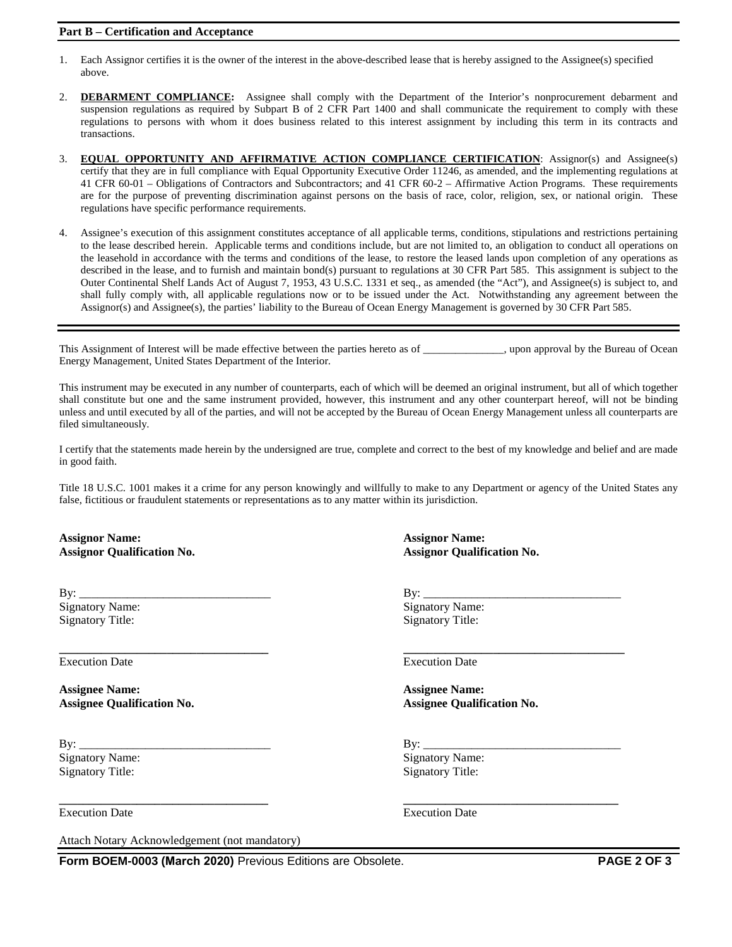#### **Part B – Certification and Acceptance**

- 1. Each Assignor certifies it is the owner of the interest in the above-described lease that is hereby assigned to the Assignee(s) specified above.
- 2. **DEBARMENT COMPLIANCE:** Assignee shall comply with the Department of the Interior's nonprocurement debarment and suspension regulations as required by Subpart B of 2 CFR Part 1400 and shall communicate the requirement to comply with these regulations to persons with whom it does business related to this interest assignment by including this term in its contracts and transactions.
- 3. **EQUAL OPPORTUNITY AND AFFIRMATIVE ACTION COMPLIANCE CERTIFICATION**: Assignor(s) and Assignee(s) certify that they are in full compliance with Equal Opportunity Executive Order 11246, as amended, and the implementing regulations at 41 CFR 60-01 – Obligations of Contractors and Subcontractors; and 41 CFR 60-2 – Affirmative Action Programs. These requirements are for the purpose of preventing discrimination against persons on the basis of race, color, religion, sex, or national origin. These regulations have specific performance requirements.
- 4. Assignee's execution of this assignment constitutes acceptance of all applicable terms, conditions, stipulations and restrictions pertaining to the lease described herein. Applicable terms and conditions include, but are not limited to, an obligation to conduct all operations on the leasehold in accordance with the terms and conditions of the lease, to restore the leased lands upon completion of any operations as described in the lease, and to furnish and maintain bond(s) pursuant to regulations at 30 CFR Part 585. This assignment is subject to the Outer Continental Shelf Lands Act of August 7, 1953, 43 U.S.C. 1331 et seq., as amended (the "Act"), and Assignee(s) is subject to, and shall fully comply with, all applicable regulations now or to be issued under the Act. Notwithstanding any agreement between the Assignor(s) and Assignee(s), the parties' liability to the Bureau of Ocean Energy Management is governed by 30 CFR Part 585.

This Assignment of Interest will be made effective between the parties hereto as of \_\_\_\_\_\_\_\_\_\_\_\_\_\_, upon approval by the Bureau of Ocean Energy Management, United States Department of the Interior.

This instrument may be executed in any number of counterparts, each of which will be deemed an original instrument, but all of which together shall constitute but one and the same instrument provided, however, this instrument and any other counterpart hereof, will not be binding unless and until executed by all of the parties, and will not be accepted by the Bureau of Ocean Energy Management unless all counterparts are filed simultaneously.

I certify that the statements made herein by the undersigned are true, complete and correct to the best of my knowledge and belief and are made in good faith.

Title 18 U.S.C. 1001 makes it a crime for any person knowingly and willfully to make to any Department or agency of the United States any false, fictitious or fraudulent statements or representations as to any matter within its jurisdiction.

**\_\_\_\_\_\_\_\_\_\_\_\_\_\_\_\_\_\_\_\_\_\_\_\_\_\_\_\_\_\_\_\_\_\_\_ \_\_\_\_\_\_\_\_\_\_\_\_\_\_\_\_\_\_\_\_\_\_\_\_\_\_\_\_\_\_\_\_\_\_\_\_**

**Assignor Name: Assignor Name:**

**\_\_\_\_\_\_\_\_\_\_\_\_\_\_\_\_\_\_\_\_\_\_\_\_\_\_\_\_\_\_\_\_\_\_\_ \_\_\_\_\_\_\_\_\_\_\_\_\_\_\_\_\_\_\_\_\_\_\_\_\_\_\_\_\_\_\_\_\_\_\_\_\_** Execution Date Execution Date

**Assignee Name: Assignee Name: Assignee Qualification No. Assignee Qualification No.**

By: \_\_\_\_\_\_\_\_\_\_\_\_\_\_\_\_\_\_\_\_\_\_\_\_\_\_\_\_\_\_\_\_ By: \_\_\_\_\_\_\_\_\_\_\_\_\_\_\_\_\_\_\_\_\_\_\_\_\_\_\_\_\_\_\_\_\_ Signatory Name: Signatory Name: Signatory Title: Signatory Title: Signatory Title:

Attach Notary Acknowledgement (not mandatory)

**Assignor Qualification No. Assignor Qualification No.**

By: \_\_\_\_\_\_\_\_\_\_\_\_\_\_\_\_\_\_\_\_\_\_\_\_\_\_\_\_\_\_\_\_ By: \_\_\_\_\_\_\_\_\_\_\_\_\_\_\_\_\_\_\_\_\_\_\_\_\_\_\_\_\_\_\_\_\_ Signatory Name: Signatory Name: Signatory Name: Signatory Name: Signatory Name: Signatory Name: Signatory Name: Signatory Name: Signatory Name: Signatory Name: Signatory Name: Signatory Name: Signatory Name: Signatory Name Signatory Title: Signatory Title: Signatory Title:

Execution Date Execution Date

**Form BOEM-0003 (March 2020)** Previous Editions are Obsolete. **PAGE 2 OF 3**